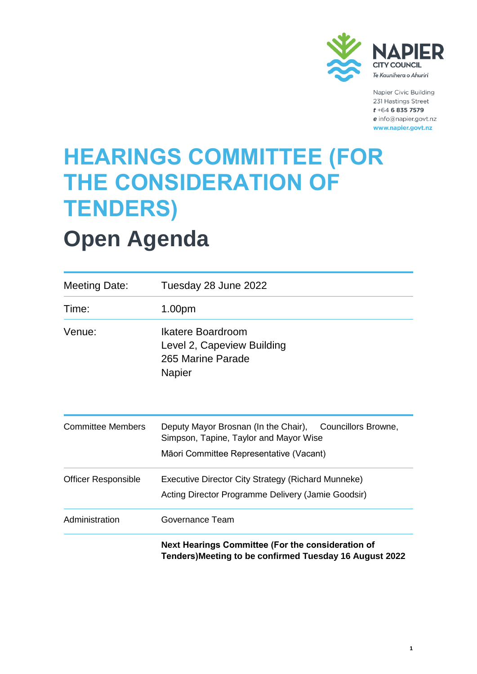

Napier Civic Building 231 Hastings Street  $t + 64$  6 835 7579 e info@napier.govt.nz www.napier.govt.nz

### **HEARINGS COMMITTEE (FOR THE CONSIDERATION OF TENDERS)**

## **Open Agenda**

| <b>Meeting Date:</b>       | Tuesday 28 June 2022                                                                                                                          |  |
|----------------------------|-----------------------------------------------------------------------------------------------------------------------------------------------|--|
| Time:                      | 1.00pm                                                                                                                                        |  |
| Venue:                     | Ikatere Boardroom<br>Level 2, Capeview Building<br>265 Marine Parade<br><b>Napier</b>                                                         |  |
| <b>Committee Members</b>   | Deputy Mayor Brosnan (In the Chair), Councillors Browne,<br>Simpson, Tapine, Taylor and Mayor Wise<br>Māori Committee Representative (Vacant) |  |
| <b>Officer Responsible</b> | Executive Director City Strategy (Richard Munneke)<br>Acting Director Programme Delivery (Jamie Goodsir)                                      |  |
| Administration             | Governance Team                                                                                                                               |  |
|                            | Next Hearings Committee (For the consideration of<br>Tenders) Meeting to be confirmed Tuesday 16 August 2022                                  |  |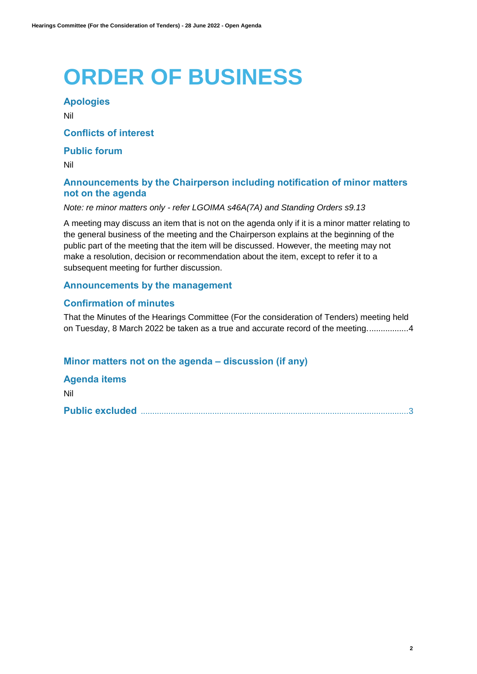# **ORDER OF BUSINESS**

### **Apologies**

Nil

#### **Conflicts of interest**

#### **Public forum**

Nil

### **Announcements by the Chairperson including notification of minor matters not on the agenda**

#### *Note: re minor matters only - refer LGOIMA s46A(7A) and Standing Orders s9.13*

A meeting may discuss an item that is not on the agenda only if it is a minor matter relating to the general business of the meeting and the Chairperson explains at the beginning of the public part of the meeting that the item will be discussed. However, the meeting may not make a resolution, decision or recommendation about the item, except to refer it to a subsequent meeting for further discussion.

#### **Announcements by the management**

#### **Confirmation of minutes**

That the Minutes of the Hearings Committee (For the consideration of Tenders) meeting held on Tuesday, 8 March 2022 be taken as a true and accurate record of the meeting.................[.4](#page-3-0)

#### **Minor matters not on the agenda – discussion (if any)**

**Agenda items** Nil **Public excluded** ...................................................................................................................[.3](#page-2-0)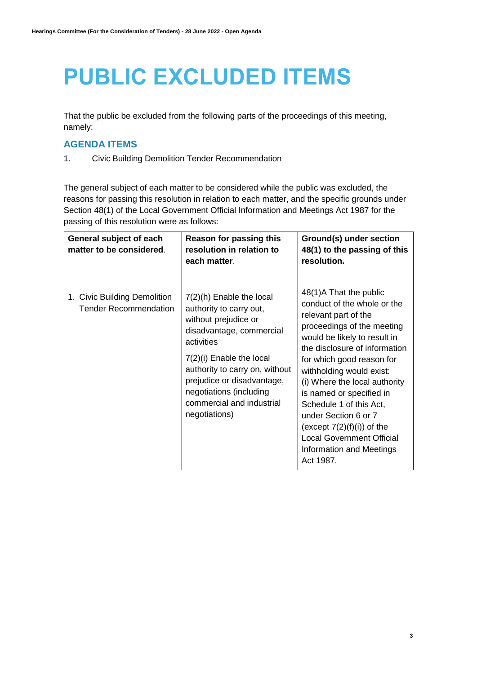## <span id="page-2-0"></span>**PUBLIC EXCLUDED ITEMS**

That the public be excluded from the following parts of the proceedings of this meeting, namely:

### **AGENDA ITEMS**

1. Civic Building Demolition Tender Recommendation

The general subject of each matter to be considered while the public was excluded, the reasons for passing this resolution in relation to each matter, and the specific grounds under Section 48(1) of the Local Government Official Information and Meetings Act 1987 for the passing of this resolution were as follows:

| General subject of each<br>matter to be considered.          | Reason for passing this<br>resolution in relation to<br>each matter.                                                                                                                                                                                                                         | Ground(s) under section<br>48(1) to the passing of this<br>resolution.                                                                                                                                                                                                                                                                                                                                                                                              |
|--------------------------------------------------------------|----------------------------------------------------------------------------------------------------------------------------------------------------------------------------------------------------------------------------------------------------------------------------------------------|---------------------------------------------------------------------------------------------------------------------------------------------------------------------------------------------------------------------------------------------------------------------------------------------------------------------------------------------------------------------------------------------------------------------------------------------------------------------|
| 1. Civic Building Demolition<br><b>Tender Recommendation</b> | $7(2)(h)$ Enable the local<br>authority to carry out,<br>without prejudice or<br>disadvantage, commercial<br>activities<br>7(2)(i) Enable the local<br>authority to carry on, without<br>prejudice or disadvantage,<br>negotiations (including<br>commercial and industrial<br>negotiations) | 48(1)A That the public<br>conduct of the whole or the<br>relevant part of the<br>proceedings of the meeting<br>would be likely to result in<br>the disclosure of information<br>for which good reason for<br>withholding would exist:<br>(i) Where the local authority<br>is named or specified in<br>Schedule 1 of this Act,<br>under Section 6 or 7<br>(except $7(2)(f)(i)$ ) of the<br><b>Local Government Official</b><br>Information and Meetings<br>Act 1987. |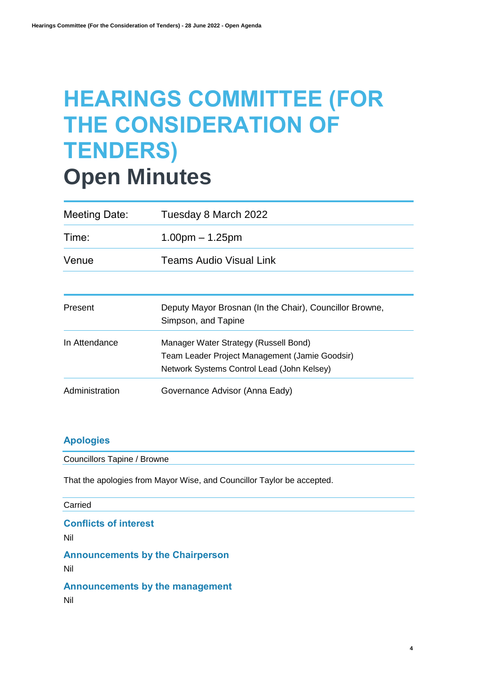## <span id="page-3-0"></span>**HEARINGS COMMITTEE (FOR THE CONSIDERATION OF TENDERS) Open Minutes**

| Meeting Date:  | Tuesday 8 March 2022                                                                                                                  |  |  |
|----------------|---------------------------------------------------------------------------------------------------------------------------------------|--|--|
| Time:          | $1.00pm - 1.25pm$                                                                                                                     |  |  |
| Venue          | <b>Teams Audio Visual Link</b>                                                                                                        |  |  |
|                |                                                                                                                                       |  |  |
| Present        | Deputy Mayor Brosnan (In the Chair), Councillor Browne,<br>Simpson, and Tapine                                                        |  |  |
| In Attendance  | Manager Water Strategy (Russell Bond)<br>Team Leader Project Management (Jamie Goodsir)<br>Network Systems Control Lead (John Kelsey) |  |  |
| Administration | Governance Advisor (Anna Eady)                                                                                                        |  |  |

#### **Apologies**

Councillors Tapine / Browne

That the apologies from Mayor Wise, and Councillor Taylor be accepted.

#### Carried

**Conflicts of interest**

Nil

**Announcements by the Chairperson** Nil

**Announcements by the management**

Nil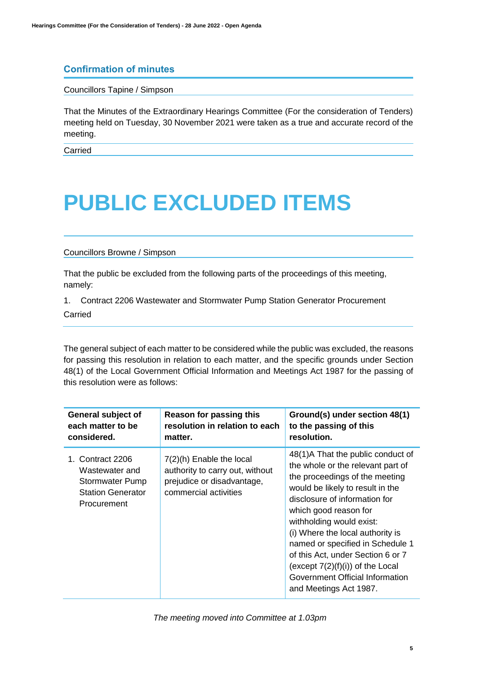#### **Confirmation of minutes**

Councillors Tapine / Simpson

That the Minutes of the Extraordinary Hearings Committee (For the consideration of Tenders) meeting held on Tuesday, 30 November 2021 were taken as a true and accurate record of the meeting.

Carried

### **PUBLIC EXCLUDED ITEMS**

#### Councillors Browne / Simpson

That the public be excluded from the following parts of the proceedings of this meeting, namely:

1. Contract 2206 Wastewater and Stormwater Pump Station Generator Procurement Carried

The general subject of each matter to be considered while the public was excluded, the reasons for passing this resolution in relation to each matter, and the specific grounds under Section 48(1) of the Local Government Official Information and Meetings Act 1987 for the passing of this resolution were as follows:

| General subject of                                                                                      | Reason for passing this                                                                                              | Ground(s) under section 48(1)                                                                                                                                                                                                                                                                                                                                                                                                                       |
|---------------------------------------------------------------------------------------------------------|----------------------------------------------------------------------------------------------------------------------|-----------------------------------------------------------------------------------------------------------------------------------------------------------------------------------------------------------------------------------------------------------------------------------------------------------------------------------------------------------------------------------------------------------------------------------------------------|
| each matter to be                                                                                       | resolution in relation to each                                                                                       | to the passing of this                                                                                                                                                                                                                                                                                                                                                                                                                              |
| considered.                                                                                             | matter.                                                                                                              | resolution.                                                                                                                                                                                                                                                                                                                                                                                                                                         |
| 1. Contract 2206<br>Wastewater and<br><b>Stormwater Pump</b><br><b>Station Generator</b><br>Procurement | $7(2)(h)$ Enable the local<br>authority to carry out, without<br>prejudice or disadvantage,<br>commercial activities | 48(1)A That the public conduct of<br>the whole or the relevant part of<br>the proceedings of the meeting<br>would be likely to result in the<br>disclosure of information for<br>which good reason for<br>withholding would exist:<br>(i) Where the local authority is<br>named or specified in Schedule 1<br>of this Act, under Section 6 or 7<br>(except $7(2)(f)(i)$ ) of the Local<br>Government Official Information<br>and Meetings Act 1987. |